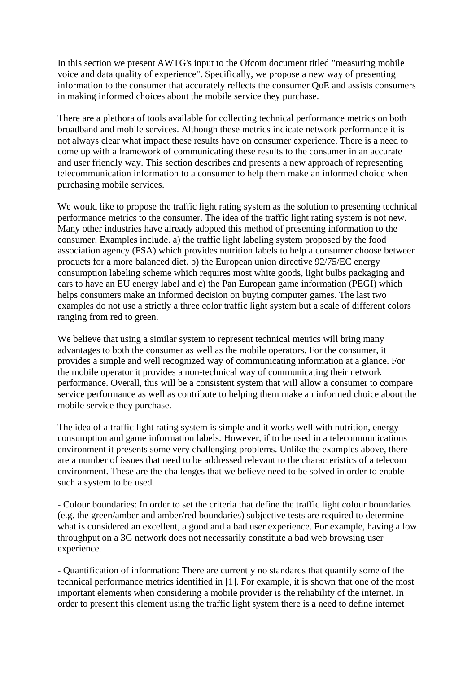In this section we present AWTG's input to the Ofcom document titled "measuring mobile voice and data quality of experience". Specifically, we propose a new way of presenting information to the consumer that accurately reflects the consumer QoE and assists consumers in making informed choices about the mobile service they purchase.

There are a plethora of tools available for collecting technical performance metrics on both broadband and mobile services. Although these metrics indicate network performance it is not always clear what impact these results have on consumer experience. There is a need to come up with a framework of communicating these results to the consumer in an accurate and user friendly way. This section describes and presents a new approach of representing telecommunication information to a consumer to help them make an informed choice when purchasing mobile services.

We would like to propose the traffic light rating system as the solution to presenting technical performance metrics to the consumer. The idea of the traffic light rating system is not new. Many other industries have already adopted this method of presenting information to the consumer. Examples include. a) the traffic light labeling system proposed by the food association agency (FSA) which provides nutrition labels to help a consumer choose between products for a more balanced diet. b) the European union directive 92/75/EC energy consumption labeling scheme which requires most white goods, light bulbs packaging and cars to have an EU energy label and c) the Pan European game information (PEGI) which helps consumers make an informed decision on buying computer games. The last two examples do not use a strictly a three color traffic light system but a scale of different colors ranging from red to green.

We believe that using a similar system to represent technical metrics will bring many advantages to both the consumer as well as the mobile operators. For the consumer, it provides a simple and well recognized way of communicating information at a glance. For the mobile operator it provides a non-technical way of communicating their network performance. Overall, this will be a consistent system that will allow a consumer to compare service performance as well as contribute to helping them make an informed choice about the mobile service they purchase.

The idea of a traffic light rating system is simple and it works well with nutrition, energy consumption and game information labels. However, if to be used in a telecommunications environment it presents some very challenging problems. Unlike the examples above, there are a number of issues that need to be addressed relevant to the characteristics of a telecom environment. These are the challenges that we believe need to be solved in order to enable such a system to be used.

- Colour boundaries: In order to set the criteria that define the traffic light colour boundaries (e.g. the green/amber and amber/red boundaries) subjective tests are required to determine what is considered an excellent, a good and a bad user experience. For example, having a low throughput on a 3G network does not necessarily constitute a bad web browsing user experience.

- Quantification of information: There are currently no standards that quantify some of the technical performance metrics identified in [1]. For example, it is shown that one of the most important elements when considering a mobile provider is the reliability of the internet. In order to present this element using the traffic light system there is a need to define internet